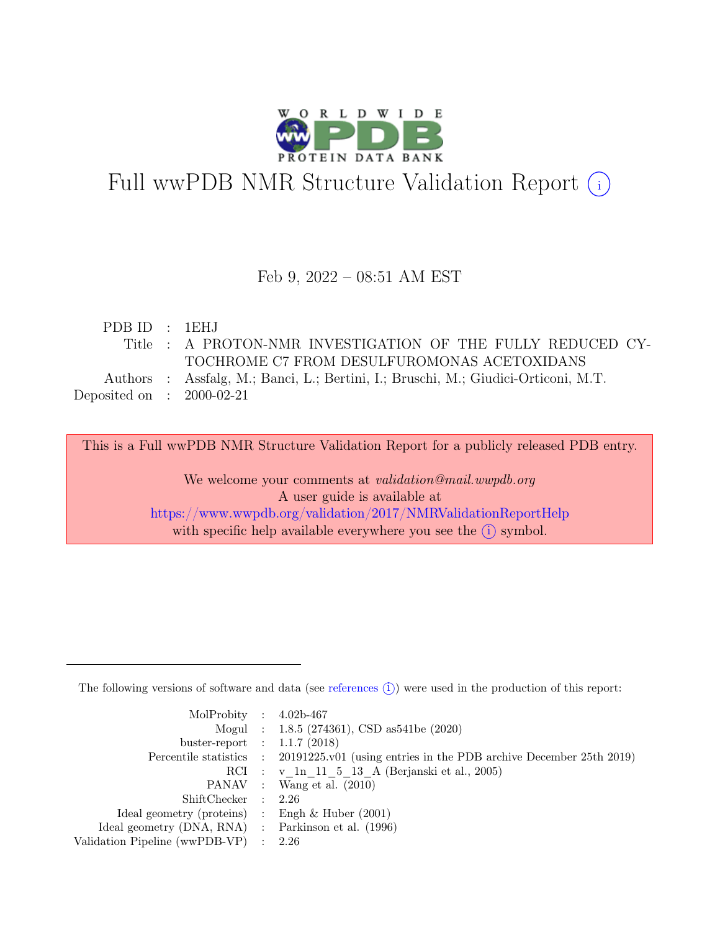

# Full wwPDB NMR Structure Validation Report (i)

#### Feb 9, 2022 – 08:51 AM EST

| PDBID : 1EHJ                |                                                                                    |
|-----------------------------|------------------------------------------------------------------------------------|
|                             | Title : A PROTON-NMR INVESTIGATION OF THE FULLY REDUCED CY-                        |
|                             | TOCHROME C7 FROM DESULFUROMONAS ACETOXIDANS                                        |
|                             | Authors : Assfalg, M.; Banci, L.; Bertini, I.; Bruschi, M.; Giudici-Orticoni, M.T. |
| Deposited on : $2000-02-21$ |                                                                                    |

This is a Full wwPDB NMR Structure Validation Report for a publicly released PDB entry.

We welcome your comments at *validation@mail.wwpdb.org* A user guide is available at <https://www.wwpdb.org/validation/2017/NMRValidationReportHelp> with specific help available everywhere you see the  $(i)$  symbol.

The following versions of software and data (see [references](https://www.wwpdb.org/validation/2017/NMRValidationReportHelp#references)  $(i)$ ) were used in the production of this report:

| MolProbity : $4.02b-467$                            |                                                                                            |
|-----------------------------------------------------|--------------------------------------------------------------------------------------------|
|                                                     | Mogul : 1.8.5 (274361), CSD as 541be (2020)                                                |
| buster-report : $1.1.7$ (2018)                      |                                                                                            |
|                                                     | Percentile statistics : 20191225.v01 (using entries in the PDB archive December 25th 2019) |
|                                                     | RCI : v 1n 11 5 13 A (Berjanski et al., 2005)                                              |
|                                                     | PANAV : Wang et al. (2010)                                                                 |
| ShiftChecker : 2.26                                 |                                                                                            |
| Ideal geometry (proteins) : Engh $\&$ Huber (2001)  |                                                                                            |
| Ideal geometry (DNA, RNA) : Parkinson et al. (1996) |                                                                                            |
| Validation Pipeline (wwPDB-VP)                      | $\therefore$ 2.26                                                                          |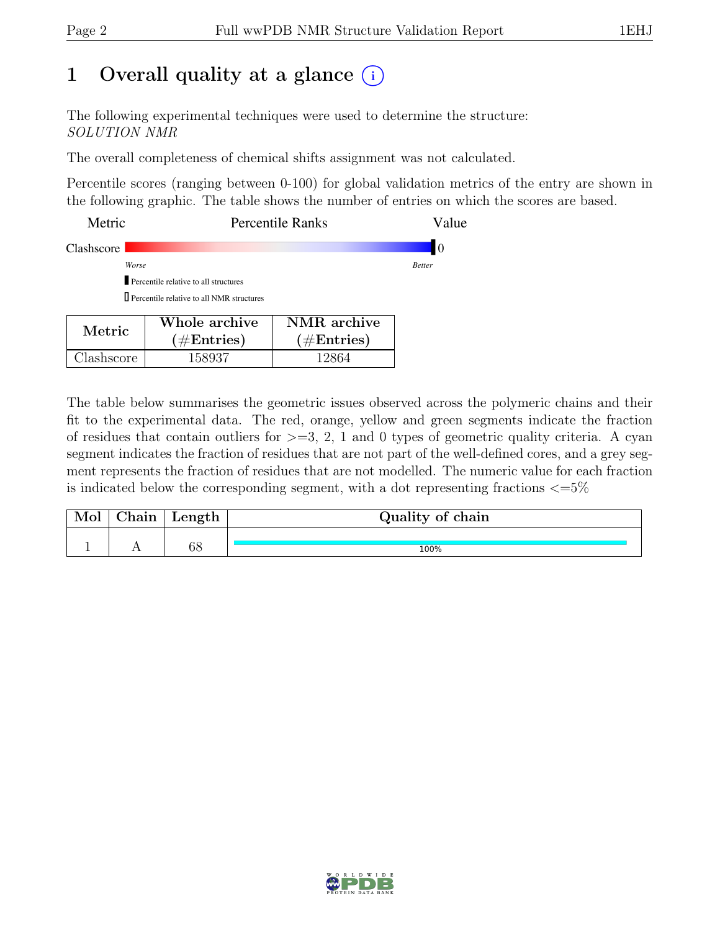## 1 Overall quality at a glance  $(i)$

The following experimental techniques were used to determine the structure: SOLUTION NMR

The overall completeness of chemical shifts assignment was not calculated.

Percentile scores (ranging between 0-100) for global validation metrics of the entry are shown in the following graphic. The table shows the number of entries on which the scores are based.

| Metric     | <b>Percentile Ranks</b>                                                                        | Value         |
|------------|------------------------------------------------------------------------------------------------|---------------|
| Clashscore |                                                                                                | 10            |
|            | Worse                                                                                          | <b>Better</b> |
|            | Percentile relative to all structures                                                          |               |
|            | $\Box$ Percentile relative to all NMR structures                                               |               |
| Metric     | NMR archive<br>Whole archive<br>$(1/\mathbf{E}_{\text{ref}})$<br>$(1/\mathbf{E}_{\text{ref}})$ |               |

 $(\#\text{Entries})$ 

Clashscore 158937 12864

The table below summarises the geometric issues observed across the polymeric chains and their fit to the experimental data. The red, orange, yellow and green segments indicate the fraction of residues that contain outliers for  $>=$  3, 2, 1 and 0 types of geometric quality criteria. A cyan segment indicates the fraction of residues that are not part of the well-defined cores, and a grey segment represents the fraction of residues that are not modelled. The numeric value for each fraction is indicated below the corresponding segment, with a dot representing fractions  $\epsilon = 5\%$ 

 $(\#\text{Entries})$ 

| Mol | hain. | Length | Quality of chain |
|-----|-------|--------|------------------|
|     |       |        |                  |
|     |       | 68     | 100%             |

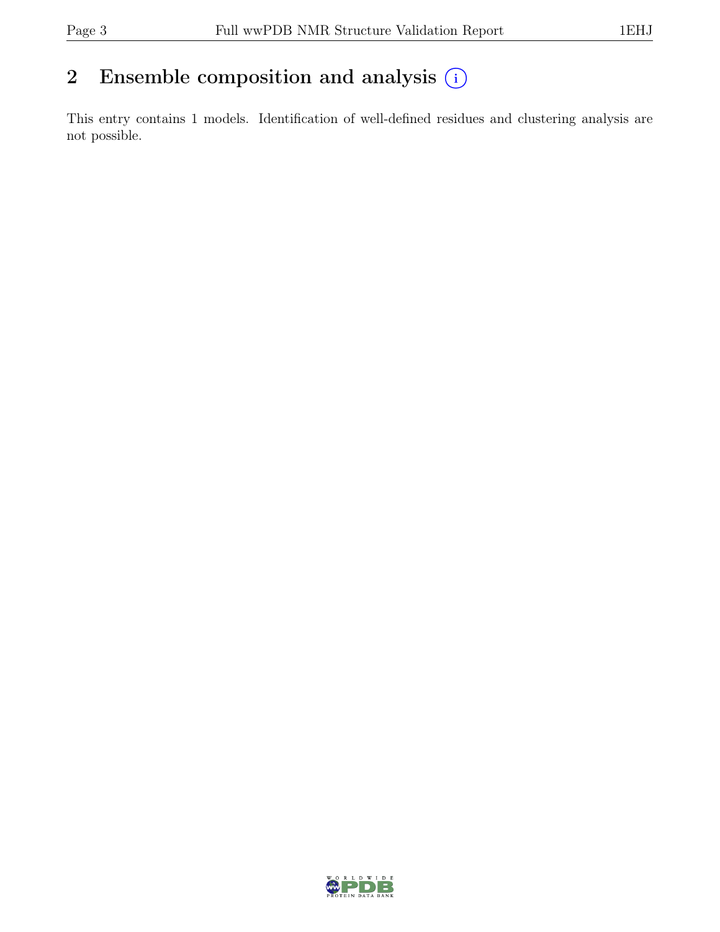## 2 Ensemble composition and analysis  $(i)$

This entry contains 1 models. Identification of well-defined residues and clustering analysis are not possible.

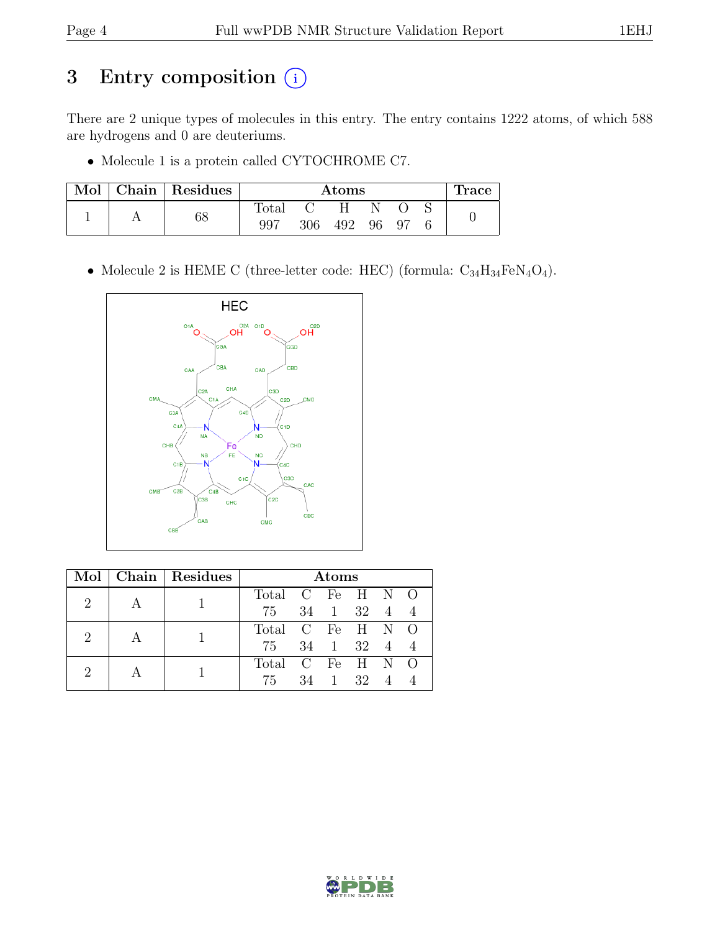## 3 Entry composition  $\circled{\scriptstyle i}$

There are 2 unique types of molecules in this entry. The entry contains 1222 atoms, of which 588 are hydrogens and 0 are deuteriums.

• Molecule 1 is a protein called CYTOCHROME C7.

| $\operatorname{Mol}$ | Chain   Residues |                | $\rm{Atoms}$ |     |    |     |  | <b>Trace</b> |
|----------------------|------------------|----------------|--------------|-----|----|-----|--|--------------|
|                      |                  | $\text{Total}$ |              | Η   |    |     |  |              |
|                      | 68               | 997            | 306          | 492 | 96 | -97 |  |              |

• Molecule 2 is HEME C (three-letter code: HEC) (formula:  $C_{34}H_{34}FeN_4O_4$ ).



|                             | Mol   Chain   Residues | Atoms            |    |             |    |        |  |
|-----------------------------|------------------------|------------------|----|-------------|----|--------|--|
| 2                           |                        | Total C Fe H N O |    |             |    |        |  |
|                             |                        | 75               |    | 34 1 32 4 4 |    |        |  |
| $\mathcal{D}_{\mathcal{L}}$ |                        | Total C Fe H N O |    |             |    |        |  |
|                             |                        | 75               |    | 34 1        |    | 32 4 4 |  |
| 2                           |                        | Total C Fe H N O |    |             |    |        |  |
|                             |                        | 75               | 34 | 1           | 32 |        |  |

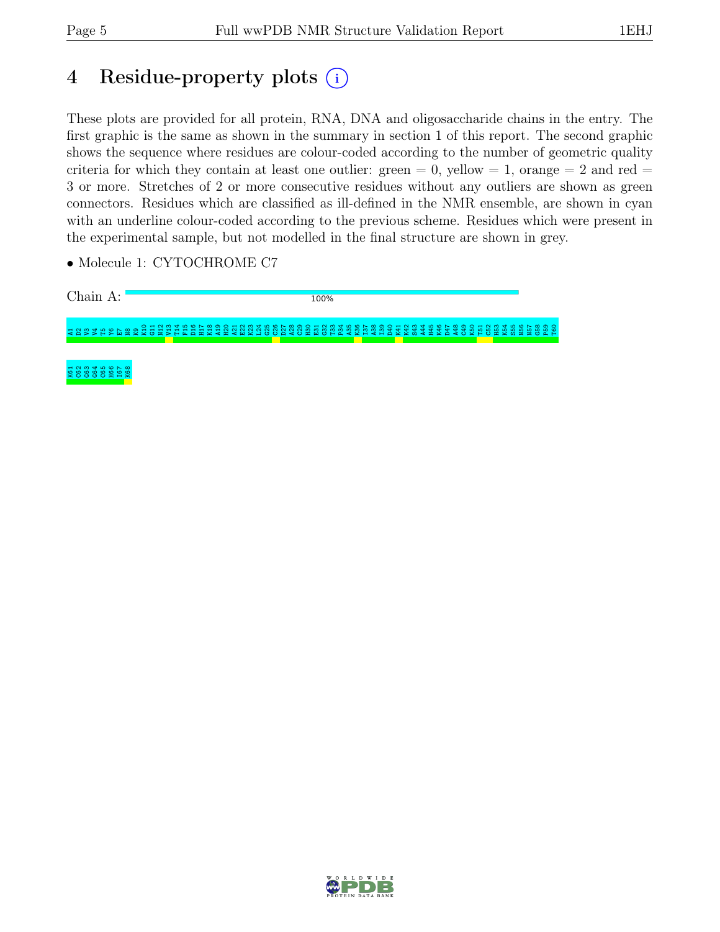T60

## 4 Residue-property plots (i)

These plots are provided for all protein, RNA, DNA and oligosaccharide chains in the entry. The first graphic is the same as shown in the summary in section 1 of this report. The second graphic shows the sequence where residues are colour-coded according to the number of geometric quality criteria for which they contain at least one outlier: green  $= 0$ , yellow  $= 1$ , orange  $= 2$  and red  $=$ 3 or more. Stretches of 2 or more consecutive residues without any outliers are shown as green connectors. Residues which are classified as ill-defined in the NMR ensemble, are shown in cyan with an underline colour-coded according to the previous scheme. Residues which were present in the experimental sample, but not modelled in the final structure are shown in grey.

• Molecule 1: CYTOCHROME C7

Chain A: 100% A1D2V3V4T5Y6E7 N8 K9 K10 G11 N12 V13 T14 F15 D16 H17 K18 A19 H20 A21 E22 K23 L24 G25 C26 D27 A28 C29 H30 E31 G32 T33 P34 A35  $\begin{smallmatrix} 28 & 28 \\ 21 & 28 \\ 21 & 22 \end{smallmatrix}$ D40 K41 K42 S43 A44 H45 K46 D47 A48 C49 K50 T51 C52 H53 K54 S55 N56 N57 G58 P59

5<br>2003<br>2004<br>2005 K68

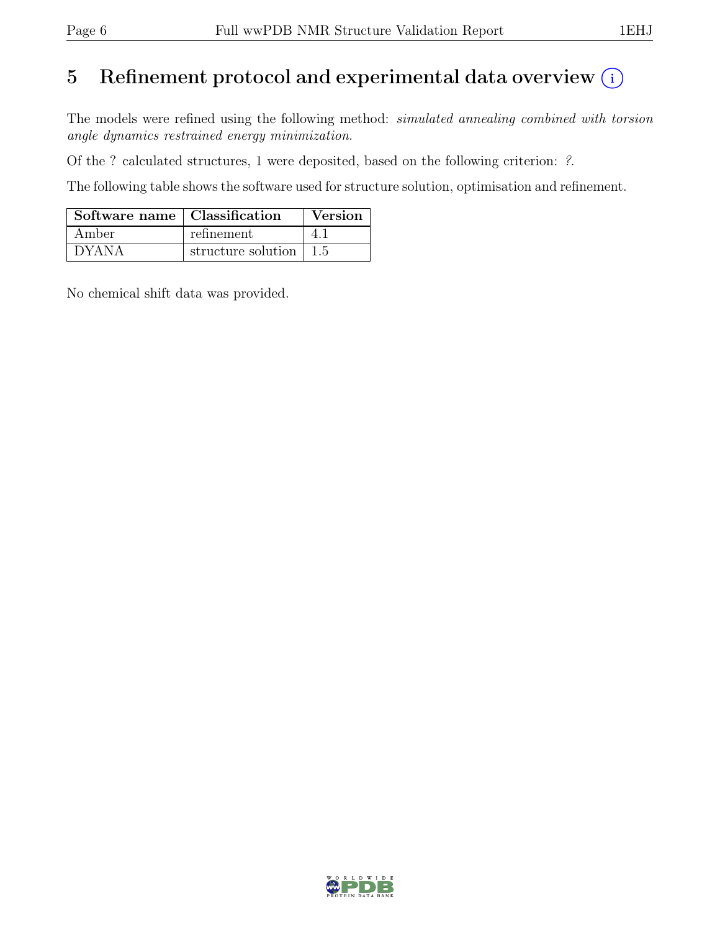## 5 Refinement protocol and experimental data overview  $(i)$

The models were refined using the following method: *simulated annealing combined with torsion* angle dynamics restrained energy minimization.

Of the ? calculated structures, 1 were deposited, based on the following criterion: ?.

The following table shows the software used for structure solution, optimisation and refinement.

| Software name   Classification |                                        | Version |
|--------------------------------|----------------------------------------|---------|
| Amber                          | refinement                             | 4. I    |
| <b>DYANA</b>                   | structure solution $\vert 1.5 \rangle$ |         |

No chemical shift data was provided.

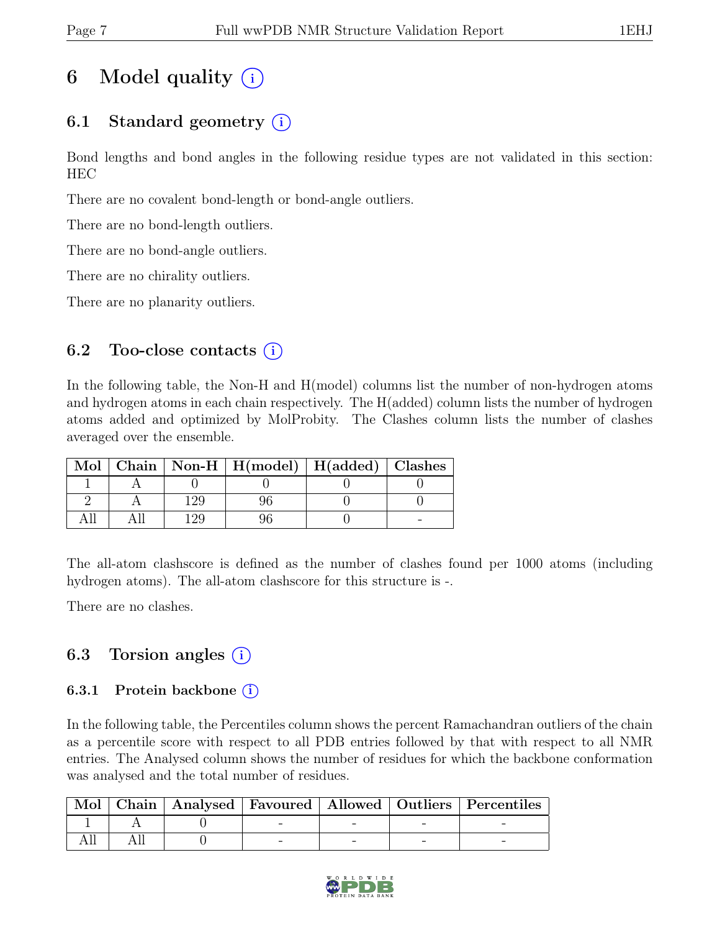# 6 Model quality  $(i)$

### 6.1 Standard geometry  $(i)$

Bond lengths and bond angles in the following residue types are not validated in this section: HEC

There are no covalent bond-length or bond-angle outliers.

There are no bond-length outliers.

There are no bond-angle outliers.

There are no chirality outliers.

There are no planarity outliers.

### 6.2 Too-close contacts  $(i)$

In the following table, the Non-H and H(model) columns list the number of non-hydrogen atoms and hydrogen atoms in each chain respectively. The H(added) column lists the number of hydrogen atoms added and optimized by MolProbity. The Clashes column lists the number of clashes averaged over the ensemble.

|  | Mol   Chain   Non-H   H(model)   H(added)   Clashes |  |
|--|-----------------------------------------------------|--|
|  |                                                     |  |
|  |                                                     |  |
|  |                                                     |  |

The all-atom clashscore is defined as the number of clashes found per 1000 atoms (including hydrogen atoms). The all-atom clashscore for this structure is -.

There are no clashes.

### 6.3 Torsion angles  $(i)$

#### 6.3.1 Protein backbone  $(i)$

In the following table, the Percentiles column shows the percent Ramachandran outliers of the chain as a percentile score with respect to all PDB entries followed by that with respect to all NMR entries. The Analysed column shows the number of residues for which the backbone conformation was analysed and the total number of residues.

|  |  |  | Mol   Chain   Analysed   Favoured   Allowed   Outliers   Percentiles |
|--|--|--|----------------------------------------------------------------------|
|  |  |  |                                                                      |
|  |  |  |                                                                      |

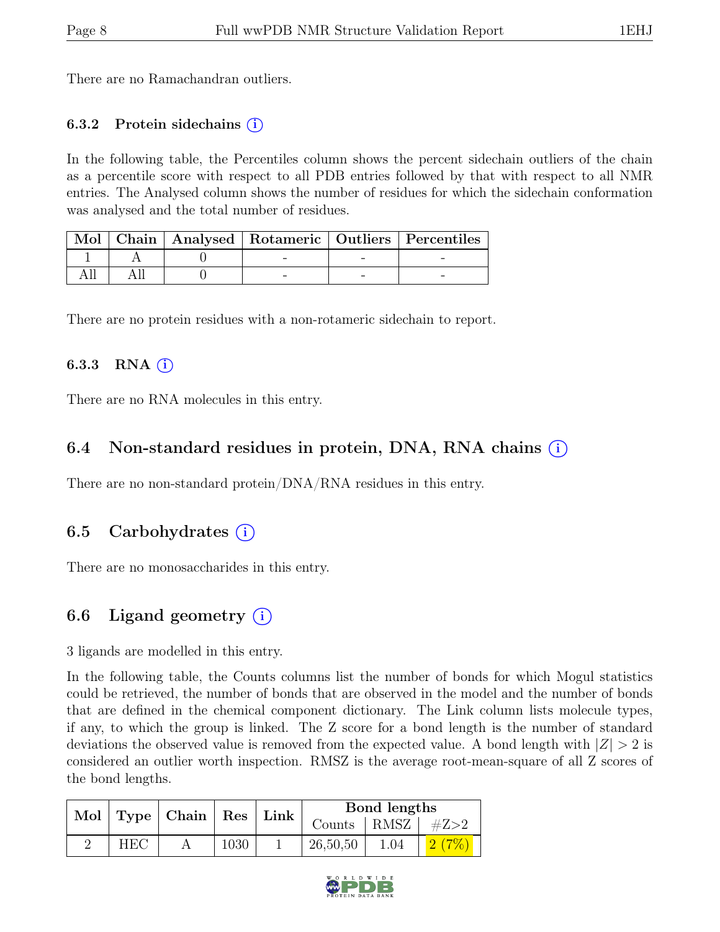There are no Ramachandran outliers.

#### 6.3.2 Protein sidechains  $(i)$

In the following table, the Percentiles column shows the percent sidechain outliers of the chain as a percentile score with respect to all PDB entries followed by that with respect to all NMR entries. The Analysed column shows the number of residues for which the sidechain conformation was analysed and the total number of residues.

|  |  | Mol   Chain   Analysed   Rotameric   Outliers   Percentiles |
|--|--|-------------------------------------------------------------|
|  |  |                                                             |
|  |  |                                                             |

There are no protein residues with a non-rotameric sidechain to report.

#### 6.3.3 RNA  $(i)$

There are no RNA molecules in this entry.

### 6.4 Non-standard residues in protein, DNA, RNA chains (i)

There are no non-standard protein/DNA/RNA residues in this entry.

### 6.5 Carbohydrates (i)

There are no monosaccharides in this entry.

### 6.6 Ligand geometry  $(i)$

3 ligands are modelled in this entry.

In the following table, the Counts columns list the number of bonds for which Mogul statistics could be retrieved, the number of bonds that are observed in the model and the number of bonds that are defined in the chemical component dictionary. The Link column lists molecule types, if any, to which the group is linked. The Z score for a bond length is the number of standard deviations the observed value is removed from the expected value. A bond length with  $|Z| > 2$  is considered an outlier worth inspection. RMSZ is the average root-mean-square of all Z scores of the bond lengths.

|            | Mol   Type   Chain   Res   Link |      | Bond lengths            |      |  |
|------------|---------------------------------|------|-------------------------|------|--|
|            |                                 |      | Counts   RMSZ   $\#Z>2$ |      |  |
| <b>HEC</b> |                                 | 1030 | 26,50,50                | 1.04 |  |

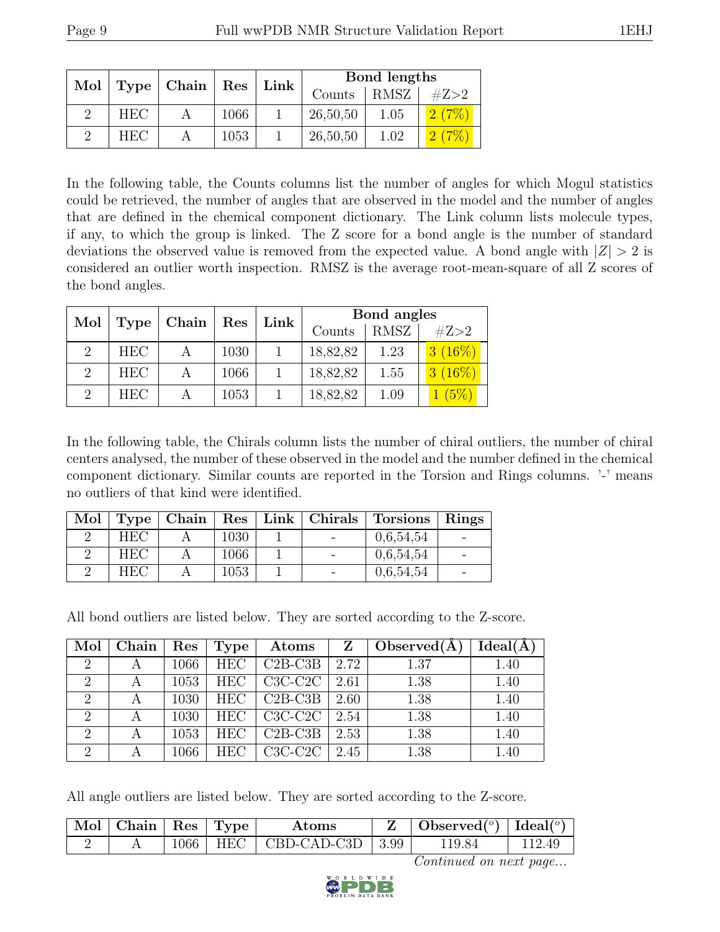| $\text{Mol}$   Type   Chain   Res<br>$ \text{Link}$ |  | Bond lengths |  |          |      |      |
|-----------------------------------------------------|--|--------------|--|----------|------|------|
|                                                     |  |              |  | Counts   | RMSZ | #Z>2 |
| <b>HEC</b>                                          |  | 1066         |  | 26,50,50 | 1.05 |      |
| <b>HEC</b>                                          |  | 1053         |  | 26,50,50 | 1.02 |      |

In the following table, the Counts columns list the number of angles for which Mogul statistics could be retrieved, the number of angles that are observed in the model and the number of angles that are defined in the chemical component dictionary. The Link column lists molecule types, if any, to which the group is linked. The Z score for a bond angle is the number of standard deviations the observed value is removed from the expected value. A bond angle with  $|Z| > 2$  is considered an outlier worth inspection. RMSZ is the average root-mean-square of all Z scores of the bond angles.

| Mol                         | Type       | Chain          | $\operatorname{Res}$ | Link | Bond angles |             |           |  |
|-----------------------------|------------|----------------|----------------------|------|-------------|-------------|-----------|--|
|                             |            |                |                      |      | Counts      | <b>RMSZ</b> | #Z>2      |  |
| $\mathcal{D}$               | <b>HEC</b> | $\overline{A}$ | 1030                 |      | 18,82,82    | 1.23        | 3(16%)    |  |
| $\mathcal{D}_{\mathcal{L}}$ | <b>HEC</b> | A              | 1066                 |      | 18,82,82    | 1.55        | $3(16\%)$ |  |
| $\mathcal{D}$               | <b>HEC</b> |                | 1053                 |      | 18,82,82    | 1.09        | (5%)      |  |

In the following table, the Chirals column lists the number of chiral outliers, the number of chiral centers analysed, the number of these observed in the model and the number defined in the chemical component dictionary. Similar counts are reported in the Torsion and Rings columns. '-' means no outliers of that kind were identified.

|            |      |  | Mol   Type   Chain   Res   Link   Chirals   Torsions   Rings |  |
|------------|------|--|--------------------------------------------------------------|--|
| <b>HEC</b> | 1030 |  | 0.6.54.54                                                    |  |
| <b>HEC</b> | 1066 |  | 0,6,54,54                                                    |  |
| HEC.       | 1053 |  | 0.6,54,54                                                    |  |

All bond outliers are listed below. They are sorted according to the Z-score.

| Mol                         | Chain | $\operatorname{Res}$ | Type       | Atoms     | Z    | Observed $(A)$ | Ideal(A) |
|-----------------------------|-------|----------------------|------------|-----------|------|----------------|----------|
| $\overline{2}$              |       | 1066                 | <b>HEC</b> | $C2B-C3B$ | 2.72 | 1.37           | 1.40     |
| 2                           | А     | 1053                 | <b>HEC</b> | $C3C-C2C$ | 2.61 | 1.38           | 1.40     |
| $\mathcal{D}_{\mathcal{A}}$ |       | 1030                 | <b>HEC</b> | $C2B-C3B$ | 2.60 | 1.38           | 1.40     |
| 2                           |       | 1030                 | <b>HEC</b> | $C3C-C2C$ | 2.54 | 1.38           | 1.40     |
| $\overline{2}$              |       | 1053                 | <b>HEC</b> | $C2B-C3B$ | 2.53 | 1.38           | 1.40     |
| $\overline{2}$              | А     | 1066                 | <b>HEC</b> | $C3C-C2C$ | 2.45 | 1.38           | 1.40     |

All angle outliers are listed below. They are sorted according to the Z-score.

| $\sqrt{\text{Mol}}$ Chain   Res   Type $\sqrt{\ }$ |  | Atoms                             | Observed( $^o$ )   Ideal( $^o$ ) |  |
|----------------------------------------------------|--|-----------------------------------|----------------------------------|--|
|                                                    |  | $1066$   HEC   CBD-CAD-C3D   3.99 | 119.84                           |  |

Continued on next page...

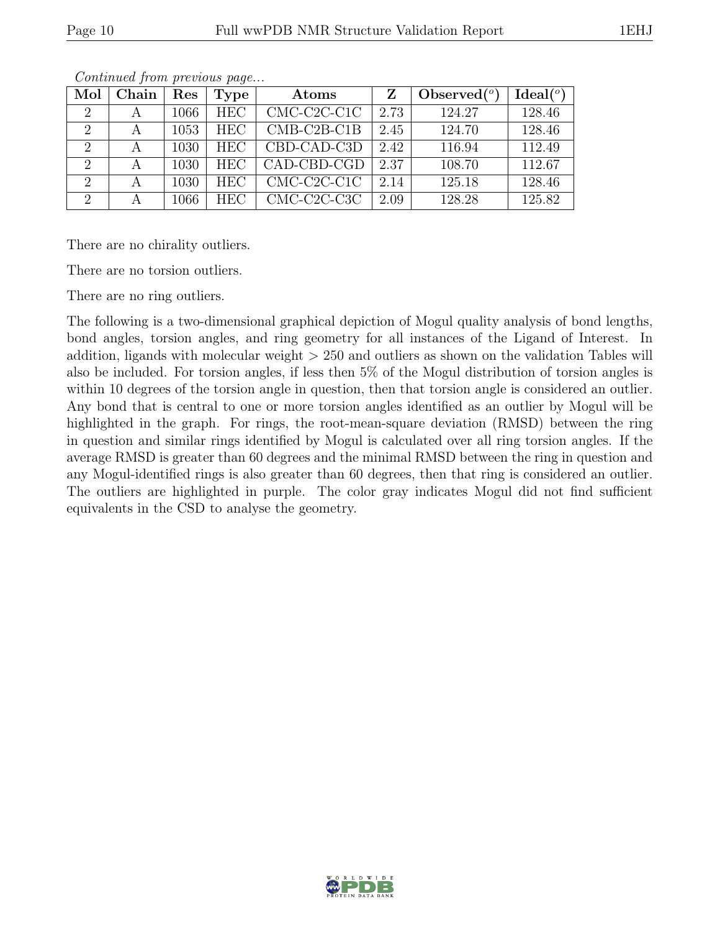| Mol                         | Chain | $\operatorname{Res}$ | Type       | Atoms         |      | Observed $(°)$ | Ideal $(°)$ |
|-----------------------------|-------|----------------------|------------|---------------|------|----------------|-------------|
| $\overline{2}$              |       | 1066                 | <b>HEC</b> | $CMC-C2C-C1C$ | 2.73 | 124.27         | 128.46      |
| $\mathcal{D}_{\mathcal{L}}$ |       | 1053                 | <b>HEC</b> | $CMB-C2B-C1B$ | 2.45 | 124.70         | 128.46      |
| 2                           |       | 1030                 | <b>HEC</b> | CBD-CAD-C3D   | 2.42 | 116.94         | 112.49      |
| $\overline{2}$              |       | 1030                 | <b>HEC</b> | CAD-CBD-CGD   | 2.37 | 108.70         | 112.67      |
| $\overline{2}$              |       | 1030                 | <b>HEC</b> | $CMC-C2C-C1C$ | 2.14 | 125.18         | 128.46      |
| $\overline{2}$              |       | 1066                 | <b>HEC</b> | $CMC-C2C-C3C$ | 2.09 | 128.28         | 125.82      |

Continued from previous page...

There are no chirality outliers.

There are no torsion outliers.

There are no ring outliers.

The following is a two-dimensional graphical depiction of Mogul quality analysis of bond lengths, bond angles, torsion angles, and ring geometry for all instances of the Ligand of Interest. In addition, ligands with molecular weight  $> 250$  and outliers as shown on the validation Tables will also be included. For torsion angles, if less then 5% of the Mogul distribution of torsion angles is within 10 degrees of the torsion angle in question, then that torsion angle is considered an outlier. Any bond that is central to one or more torsion angles identified as an outlier by Mogul will be highlighted in the graph. For rings, the root-mean-square deviation (RMSD) between the ring in question and similar rings identified by Mogul is calculated over all ring torsion angles. If the average RMSD is greater than 60 degrees and the minimal RMSD between the ring in question and any Mogul-identified rings is also greater than 60 degrees, then that ring is considered an outlier. The outliers are highlighted in purple. The color gray indicates Mogul did not find sufficient equivalents in the CSD to analyse the geometry.

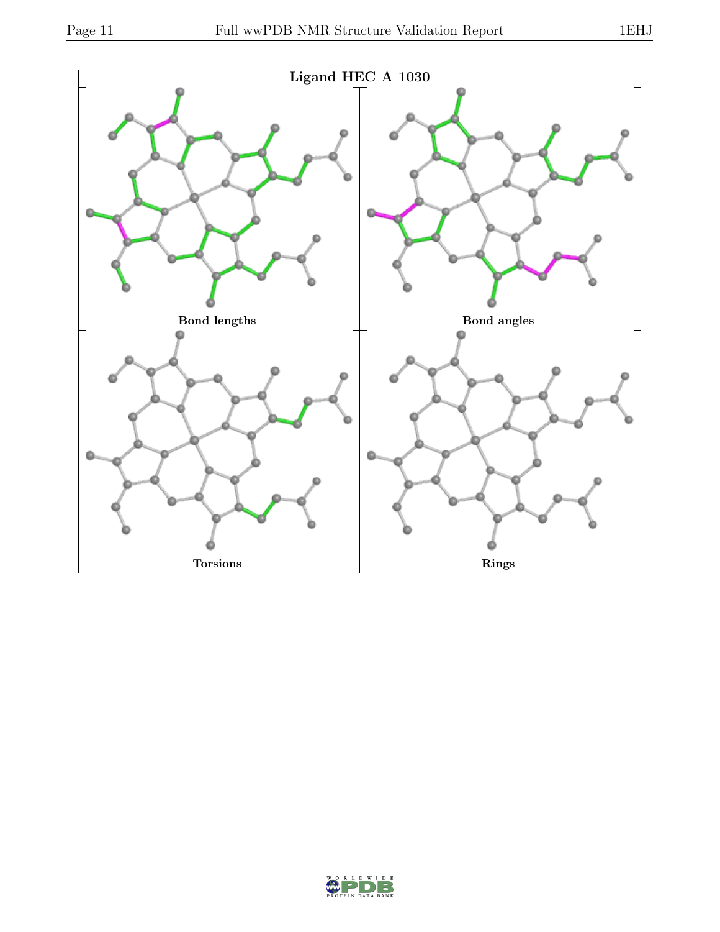

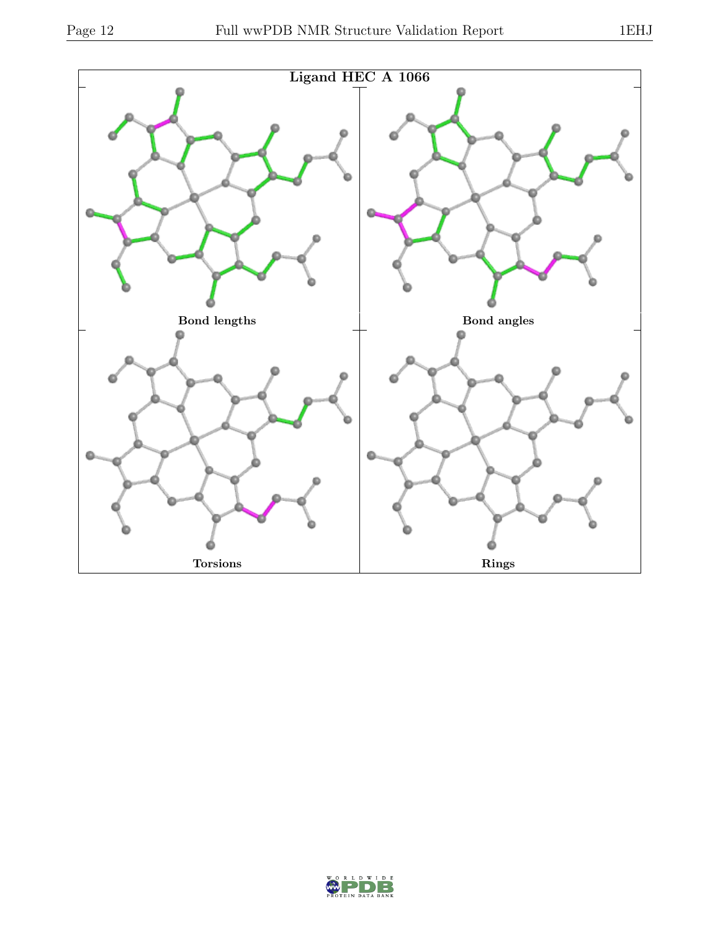

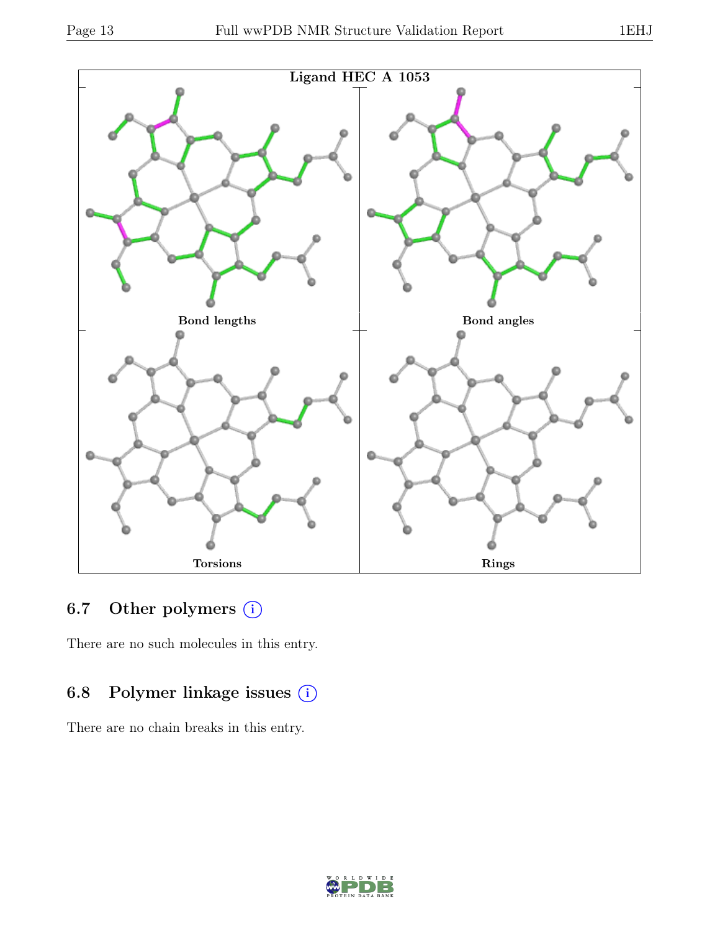

### 6.7 Other polymers (i)

There are no such molecules in this entry.

### 6.8 Polymer linkage issues (i)

There are no chain breaks in this entry.